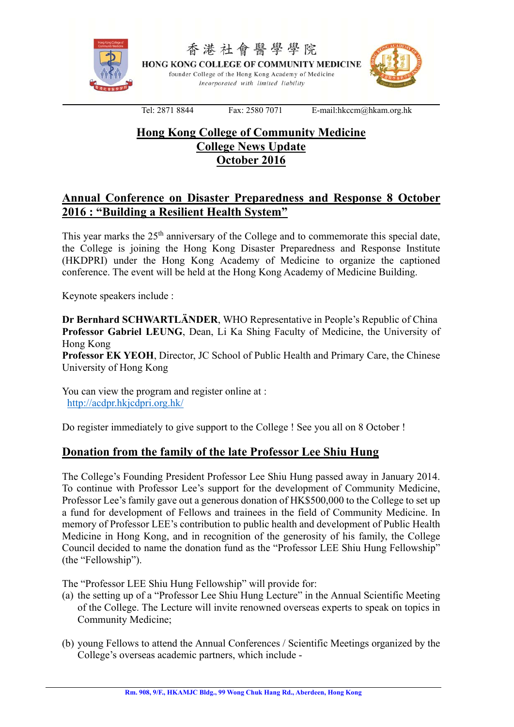

# **Hong Kong College of Community Medicine College News Update October 2016**

## **Annual Conference on Disaster Preparedness and Response 8 October 2016 : "Building a Resilient Health System"**

This year marks the  $25<sup>th</sup>$  anniversary of the College and to commemorate this special date, the College is joining the Hong Kong Disaster Preparedness and Response Institute (HKDPRI) under the Hong Kong Academy of Medicine to organize the captioned conference. The event will be held at the Hong Kong Academy of Medicine Building.

Keynote speakers include :

**Dr Bernhard SCHWARTLÄNDER**, WHO Representative in People's Republic of China **Professor Gabriel LEUNG**, Dean, Li Ka Shing Faculty of Medicine, the University of Hong Kong

**Professor EK YEOH**, Director, JC School of Public Health and Primary Care, the Chinese University of Hong Kong

You can view the program and register online at : http://acdpr.hkjcdpri.org.hk/

Do register immediately to give support to the College ! See you all on 8 October !

### **Donation from the family of the late Professor Lee Shiu Hung**

The College's Founding President Professor Lee Shiu Hung passed away in January 2014. To continue with Professor Lee's support for the development of Community Medicine, Professor Lee's family gave out a generous donation of HK\$500,000 to the College to set up a fund for development of Fellows and trainees in the field of Community Medicine. In memory of Professor LEE's contribution to public health and development of Public Health Medicine in Hong Kong, and in recognition of the generosity of his family, the College Council decided to name the donation fund as the "Professor LEE Shiu Hung Fellowship" (the "Fellowship").

The "Professor LEE Shiu Hung Fellowship" will provide for:

- (a) the setting up of a "Professor Lee Shiu Hung Lecture" in the Annual Scientific Meeting of the College. The Lecture will invite renowned overseas experts to speak on topics in Community Medicine;
- (b) young Fellows to attend the Annual Conferences / Scientific Meetings organized by the College's overseas academic partners, which include -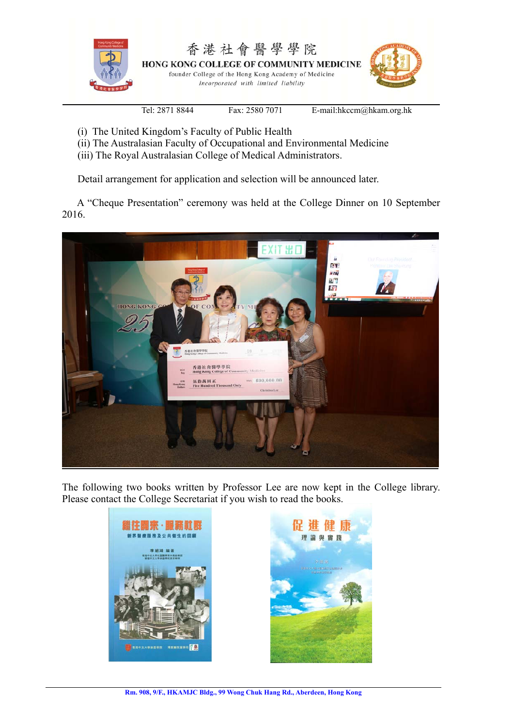

- (i) The United Kingdom's Faculty of Public Health
- (ii) The Australasian Faculty of Occupational and Environmental Medicine
- (iii) The Royal Australasian College of Medical Administrators.

Detail arrangement for application and selection will be announced later.

 A "Cheque Presentation" ceremony was held at the College Dinner on 10 September 2016.



The following two books written by Professor Lee are now kept in the College library. Please contact the College Secretariat if you wish to read the books.

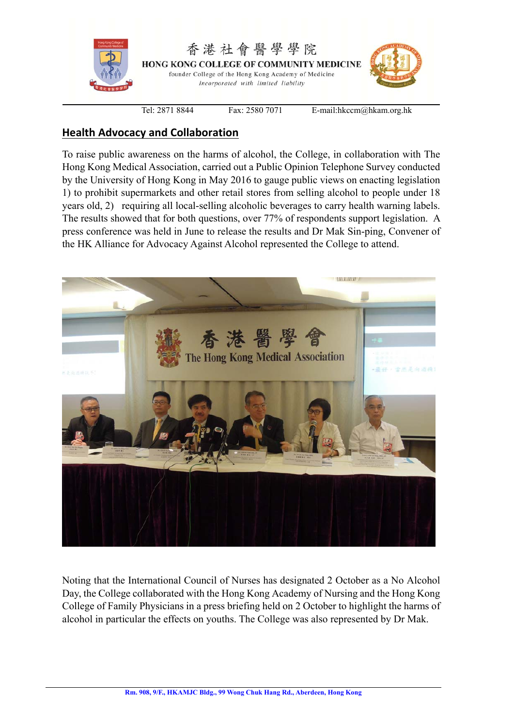

## **Health Advocacy and Collaboration**

To raise public awareness on the harms of alcohol, the College, in collaboration with The Hong Kong Medical Association, carried out a Public Opinion Telephone Survey conducted by the University of Hong Kong in May 2016 to gauge public views on enacting legislation 1) to prohibit supermarkets and other retail stores from selling alcohol to people under 18 years old, 2) requiring all local-selling alcoholic beverages to carry health warning labels. The results showed that for both questions, over 77% of respondents support legislation. A press conference was held in June to release the results and Dr Mak Sin-ping, Convener of the HK Alliance for Advocacy Against Alcohol represented the College to attend.



Noting that the International Council of Nurses has designated 2 October as a No Alcohol Day, the College collaborated with the Hong Kong Academy of Nursing and the Hong Kong College of Family Physicians in a press briefing held on 2 October to highlight the harms of alcohol in particular the effects on youths. The College was also represented by Dr Mak.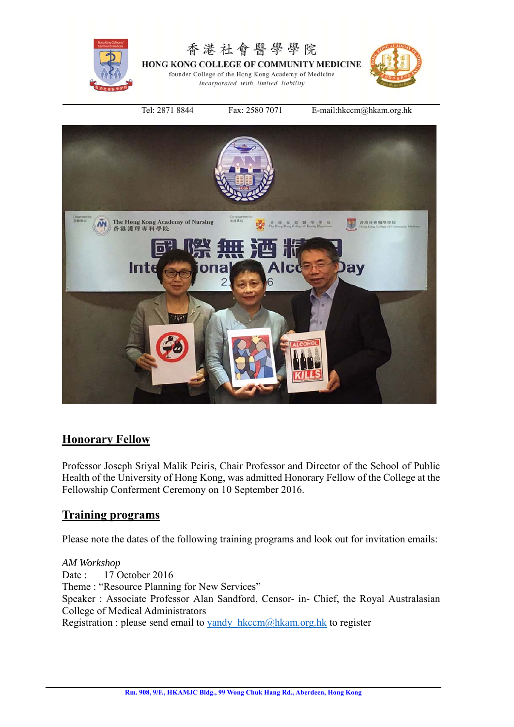



## **Honorary Fellow**

Professor Joseph Sriyal Malik Peiris, Chair Professor and Director of the School of Public Health of the University of Hong Kong, was admitted Honorary Fellow of the College at the Fellowship Conferment Ceremony on 10 September 2016.

### **Training programs**

Please note the dates of the following training programs and look out for invitation emails:

*AM Workshop*  Date : 17 October 2016 Theme : "Resource Planning for New Services" Speaker : Associate Professor Alan Sandford, Censor- in- Chief, the Royal Australasian College of Medical Administrators Registration : please send email to yandy  $h$ kccm $@hh$ kam.org.hk to register